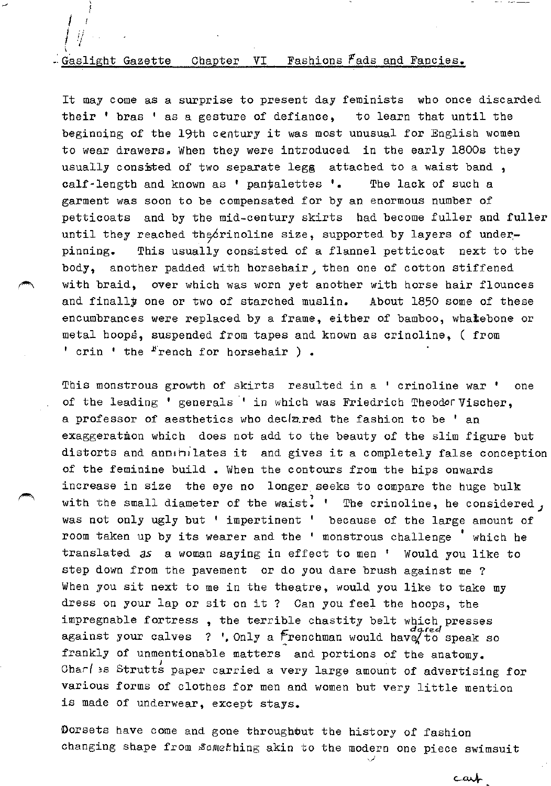# $-$  Gaslight Gazette Chapter VI Fashions  $F$ ads and Fancies.

I l  $l \cdot i l$  .  $\int \psi_{\perp}$ 

It may come as a surprise to present day feminists who once discarded their ' bras ' as a gesture of defiance, to learn that until the beginning of the 19th century it was most unusual for English women to wear drawers. When they were introduced in the early 1800s they usually consisted of two separate legg attached to a waist band, calf-length and known as ' pan#alettes '. The lack of such a garment was soon to be compensated for by an enormous number of petticoats and by the mid-century skirts had become fuller and fuller until they reached the crinoline size, supported by layers of underpinning. This usually consisted of a flannel petticoat next to the body, another padded with horsehair, then one of cotton stiffened with braid, over which was worn yet another with horse hair flounces and finally one or two of starched muslin. About 1850 some of these encumbrances were replaced by a frame, either of bamboo, whatebone or metal hoops, suspended from tapes and known as crinoline, ( from ' crin ' the  $F$ rench for horsehair ).

This monstrous growth of skirts resulted in a ' crinoline war ' one of the leading ' generals ' in which was Friedrich Theodor Vischer, a professor of aesthetics who declared the fashion to be ' an exaggeration which does not add to the beauty of the slim figure but distorts and annihilates it and gives it a completely false conception of the feminine build • When the contours from the hips onwards increase in size the eye no longer seeks to compare the huge bulk with the small diameter of the waist. ' The crinoline, he considered, was not only ugly but ' impertinent ' because of the large amount of room taken up by its wearer and the ' monstrous challenge ' which he translated as a woman saying in effect to men ' Would you like to step down from the pavement or do you dare brush against me ? When you sit next to me in the theatre, would you like to take my dress on your lap or sit on it ? Can you feel the hoops, the impregnable fortress , the terrible chastity belt which presses against your calves ? ', Only a  $F$ renchman would have to speak so frankly of unmentionable matters and portions of the anatomy. Char( )s Strutts paper carried a very large amount of advertising for various forms of clothes for men and women but very little mention is made of underwear, except stays.

Dorsets have come and gone throughout the history of fashion changing shape from \$omething akin to the modern one piece swimsuit

*,\_)* 

cart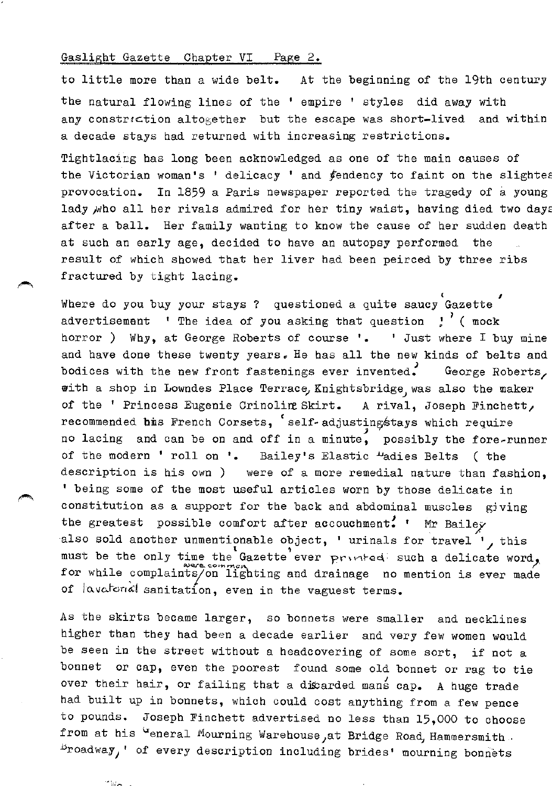#### Gaslight Gazette Chapter VI Page 2.

to little more than a wide belt. At the beginning of the 19th century the natural flowing lines of the ' empire ' styles did away with any constriction altogether but the escape was short-lived and within a decade stays bad returned with increasing restrictions.

Tightlacing has long been acknowledged as one of the main causes of the Victorian woman's ' delicacy ' and  $f$ endency to faint on the slightes provocation. In 1859 a Paris newspaper reported the tragedy of a young lady who all her rivals admired for her tiny waist, having died two days after a ball. Her family wanting to know the cause of her sudden death at such an early age, decided to have an autopsy performed the result of which showed that her liver had been peirced by three ribs fractured by tight lacing.

Where do you buy your stays ? questioned a quite saucy Gazette advertisement  $\lq$ <sup>t</sup> The idea of you asking that question  $\lq$ <sup>'</sup> (mock horror ) Why, at George Roberts of course '. ' Just where I buy mine and have done these twenty years. He has all the new kinds of belts and bodices with the new front fastenings ever invented. George Roberts, with a shop in Lowndes Place Terrace, Knightsbridge, was also the maker of the ' Princess Eugenie Crinoling Skirt. A rival, Joseph Finchett, recommended bis French Corsets, 'self-adjusting stays which require no lacing and can be on and off in a minute, possibly the fore-runner of the modern ' roll on '. Bailey's Elastic "adies Belts ( the description is his own ) were of a more remedial nature than fashion, ' being some of the most useful articles worn by those delicate in constitution as a support for the back and abdominal muscles giving the greatest possible comfort after accouchment. ' Mr Bailey also sold another unmentionable object, ' urinals for travel  $'$ , this must be the only time the Gazette ever printed such a delicate word, for while complaints/on lighting and drainage no mention is ever made of lavatorial sanitation, even in the vaguest terms.

As the skirts became larger, so bonnets were smaller and necklines higher than they bad been a decade earlier and very few women would be seen in the street without a headcovering of some sort, if not a bonnet or cap, even the poorest found some old bonnet or rag to tie over their hair, or failing that a dixarded mans cap. A huge trade had built up in bonnets, which could cost anything from a few pence to pounds. Joseph Finchett advertised no less than 15,000 to choose from at his "eneral Mourning Warehouse, at Bridge Road, Hammersmith. ~roadway ' of every description including brides' mourning bonnets

~~ 7, *T*  V!l n -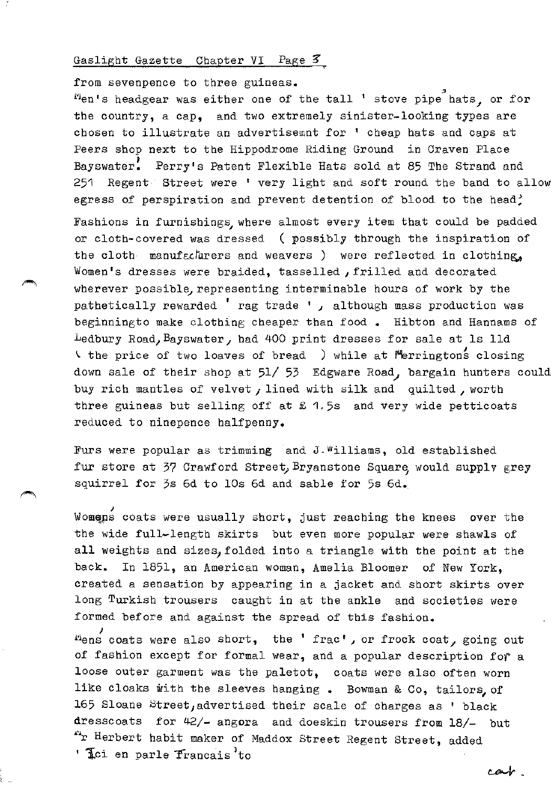#### Gaslight Gazette Chapter VI Page  $\mathcal{Z}_1$

from sevenpence to three guineas.  $"$ en's headgear was either one of the tall ' stove pipe hats, or for the country, a cap, and two extremely sinister-looking types are chosen to illustrate an advertisemnt for ' cheap hats and caps at Peers shop next to the Hippodrome Riding Ground in Craven Place Bayswater. Perry's Patent Flexible Hats sold at 85 The Strand and 251 Regent Street were ' very light and soft round the band to allow egress of perspiration and prevent detention of blood to the head? Fashions in furnishings, where almost every item that could be padded or cloth-covered was dressed ( possibly through the inspiration of the cloth manufacturers and weavers ) were reflected in clothing. Women's dresses were braided, tasselled, frilled and decorated wherever possible, representing interminable hours of work by the pathetically rewarded ' rag trade ', although mass production was beginningto make clothing cheaper than food • Hibton and Hannams of Ledbury Road, Bayswater, had 400 print dresses for sale at ls lld  $\vee$  the price of two loaves of bread ) while at Merringtons closing down sale of their shop at 51/ 53 Edgware Road, bargain hunters could buy rich mantles of velvet, lined with silk and quilted, worth three guineas but selling off at  $\pounds$  1.5s and very wide petticoats reduced to ninepence halfpenny.

Furs were popular as trimming and J.Williams, old established fur store at 37 Crawford Street, Bryanstone Square, would supply grey squirrel for 3s 6d to 10s 6d and sable for 5s 6d.

Womens coats were usually short, just reaching the knees over the the wide full-length skirts but even more popular were shawls of all weights and sizes, folded into a triangle with the point at the back. In 1851, an American woman, Amelia Bloomer of New York, created a sensation by appearing in a jacket and short skirts over long Turkish trousers caught in at the ankle and societies were formed before and against the spread of this fashion.

 $\mu_{\text{ens}}$  coats were also short, the 'frac', or frock coat, going out of fashion except for formal wear, and a popular description *for* a loose outer garment was the paletot, coats were also often worn like cloaks with the sleeves hanging. Bowman & Co, tailors, of 165 Sloane Street, advertised their scale of charges as ' black dresscoats for 42/- angora and doeskin trousers from 18/- but "r Herbert habit maker of Maddox Street Regent Street, added ' Lei en parle Francais to

car.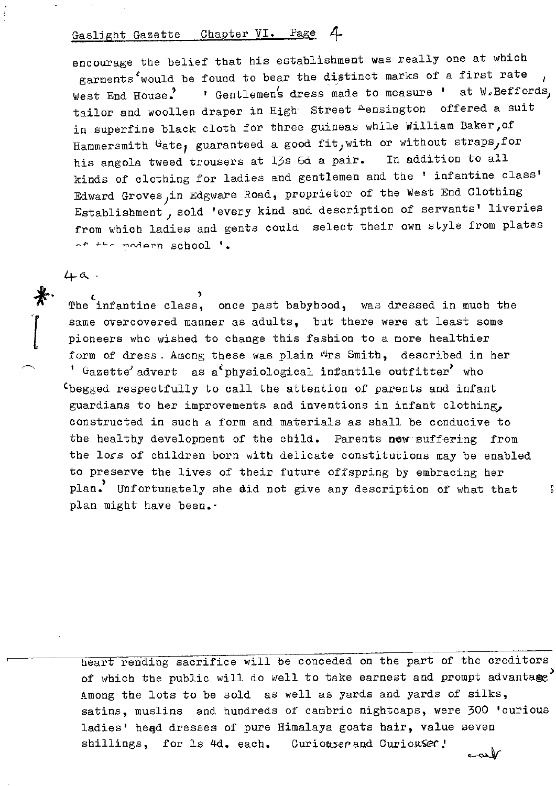# Gaslight Gazette Chapter VI. Page 4

encourage the belief that his establishment was really one at which garments<sup>t</sup>would be found to bear the distinct marks of a first rate West End House.<sup>'</sup> I Gentlemen's dress made to measure ' at W.Beffords, tailor and woollen draper in High Street Aensington offered a suit in superfine black cloth for three guineas while William Baker,of Hammersmith  $G$ ate, guaranteed a good fit, with or without straps, for his angola tweed trousers at 13s 6d a pair. In addition to all kinds of clothing for ladies and gentlemen and the ' infantine class' Edward Groves, in Edgware Road, proprietor of the West End Clothing Establishment *1* sold 'every kind and description of servants' liveries from which ladies and gents could select their own style from plates  $A^*$   $\rightarrow$   $A^*$  modern school  $\prime$ .

## $4 - a$ .

The infantine class, once past babyhood, was dressed in much the same overcovered manner as adults, but there were at least some pioneers who wished to change this fashion to a more healthier form of dress. Among these was plain Mrs Smith, described in her  $'$  Gazette' advert as a physiological infantile outfitter' who (begged respectfully to call the attention of parents and infant guardians to her improvements and inventions in infant clothing, constructed in such a form and materials as shall be conducive to the healthy development of the child. Parents now suffering from the loss of children born with delicate constitutions may be enabled to preserve the lives of their future offspring by embracing her plan. Unfortunately she did not give any description of what that plan might have been.-

heart rending sacrifice will be conceded on the part of the creditors of which the public will do well to take earnest and prompt advantage Among the lots to be sold as well as yards and yards of silks, satins, muslins and hundreds of cambric nightcaps, were 300 'curious ladies' head dresses of pure Himalaya goats hair, value seven shillings, for 1s 4d. each. Curiouser and Curiouser!  $\sim$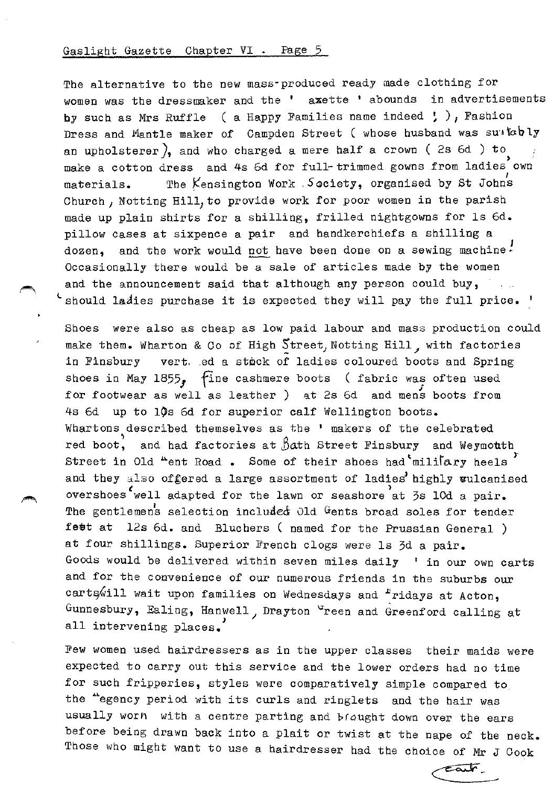## Gaslight Gazette Chapter VI . Page 5

The alternative to the new mass-produced ready made clothing for women was the dressmaker and the ' axette ' abounds in advertisements by such as Mrs Ruffle ( a Happy Families name indeed  $;$  ), Fashion Dress and Mantle maker of Campden Street ( whose husband was suatobly an upholsterer), and who charged a mere half a crown ( $2s$  6d) to make a cotton dress and 4s 6d for full-trimmed gowns from ladies own materials. The Kensington Work Society, organised by St Johns Church, Notting Hill, to provide work for poor women in the parish made up plain shirts for a shilling, frilled nightgowns for ls 6d. pillow cases at sixpence a pair and handkerchiefs a shilling a dozen, and the work would not have been done on a sewing machine. Occasionally there would be a sale of articles made by the women and the announcement said that although any person could buy,  $\ldots$ I should ladies purchase it is expected they will pay the full price. '

Shoes were also as cheap as low paid labour and mass production could make them. Wharton & Co of High Street, Notting Hill, with factories in Finsbury vert. .ed a stock of ladies coloured boots and Spring shoes in May  $1855$ , fine cashmere boots ( fabric was often used for footwear as well as leather ) at 2s 6d and mens boots from 4s 6d up to 10s 6d for superior calf Wellington boots. Whartons described themselves as the ' makers of the celebrated red boot, and had factories at  $\beta$ ath Street Finsbury and Weymouth Street in Old  $A$ ent Road. Some of their shoes had military heels and they also of gered a large assortment of ladies highly vulcanised overshoes well adapted for the lawn or seashore at 3s lOd a pair. The gentlemens selection included Old Gents broad soles for tender fett at 12s 6d. and Bluchers ( named for the Prussian General ) at four shillings. Superior French clogs were ls 3d a pair. Goods would be delivered within seven miles daily ' in our own carts and for the convenience of our numerous friends in the suburbs our carts will wait upon families on Wednesdays and  $r$ ridays at Acton, Gunnesbury, Ealing, Hanwell, Drayton "reen and Greenford calling at all intervening places.

Few women used hairdressers as in the upper classes their maids were expected to carry out this service and the lower orders had no time for such fripperies, styles were comparatively simple compared to the "egency period with its curls and ringlets and the hair was usually worn with a centre parting and braught down over the ears before being drawn back into a plait or twist at the nape of the neck. Those who might want to use a hairdresser had the choice of Mr J Cook

 $\epsilon$ ait  $\epsilon$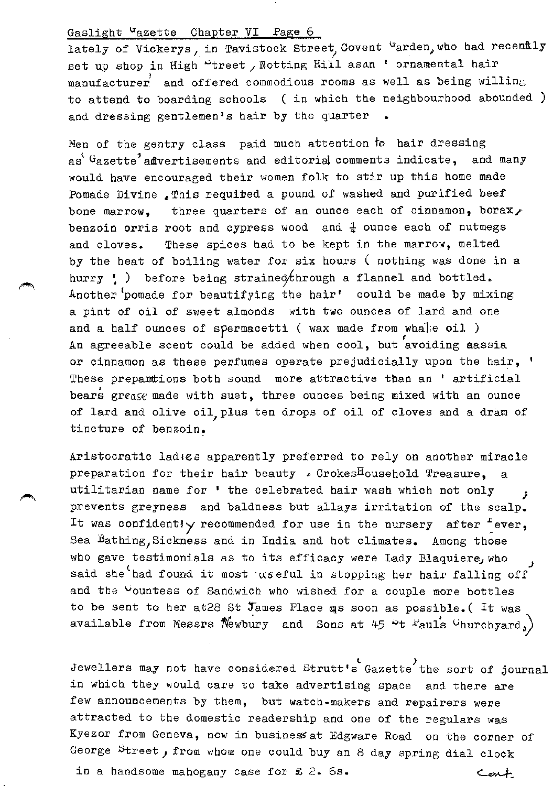## Gaslight "azette Chapter VI Page 6

lately of Vickerys, in Tavistock Street, Covent "arden, who had recently set up shop in High "treet , Notting Hill asan ' ornamental hair manufacturer and offered commodious rooms as well as being willing to attend to boarding schools ( in which the neighbourhood abounded ) and dressing gentlemen's hair by the quarter

Men of the gentry class paid much attention to hair dressing as<sup> $^{\circ}$  G</sup>azette<sup>2</sup> affivertisements and editorial comments indicate, and many would have encouraged their women folk to stir up this home made Pomade Divine .This requited a pound of washed and purified beef bone marrow, three quarters of an ounce each of cinnamon, borax, benzoin orris root and cypress wood and *i* ounce each of nutmegs and cloves. These spices had to be kept in the marrow, melted by the heat of boiling water for six hours ( nothing was done in a hurry  $\cdot$  ) before being strained through a flannel and bottled. Another<sup>t</sup>pomade for beautifying the hair' could be made by mixing a pint of oil of sweet almonds with two ounces of lard and one and a half ounces of spermacetti ( wax made from whale oil ) An agreeable scent could be added when cool, but avoiding aassia or cinnamon as these perfumes operate prejudicially upon the hair, ' These prepantions both sound more attractive than an ' artificial bears grease made with suet, three ounces being mixed with an ounce of lard and olive oil plus ten drops of oil of cloves and a dram of tincture of benzoin.

Aristocratic ladies apparently preferred to rely on another miracle preparation for their hair beauty . CrokesHousehold Treasure, a utilitarian name for • the celebrated hair wash which not only *J*  prevents greyness and baldness but allays irritation of the scalp. It was confidently recommended for use in the nursery after  $f$  ever, Sea Bathing, Sickness and in India and hot climates. Among those who gave testimonials as to its efficacy were Lady Blaquiere, who said she<sup>t</sup>had found it most aseful in stopping her hair falling off and the <sup>C</sup>ountess of Sandwich who wished for a couple more bottles to be sent to her at 28 St James Place qs soon as possible. (It was available from Messrs  $\mathcal{N}$ ewbury and Sons at 45 <sup>o</sup>t <sup>P</sup>auls <sup>U</sup>hurchyard,

Jewellers may not have considered Strutt's Gazette the sort of journal in which they would care to take advertising space and there are few annouccements by them, but watch·makers and repairers were attracted to the domestic readership and one of the regulars was Kyezor from Geneva, now in business at Edgware Road on the corner of George Street, from whom one could buy an 8 day spring dial clock in a handsome mahogany case for £ 2. 6s.  $\epsilon$ art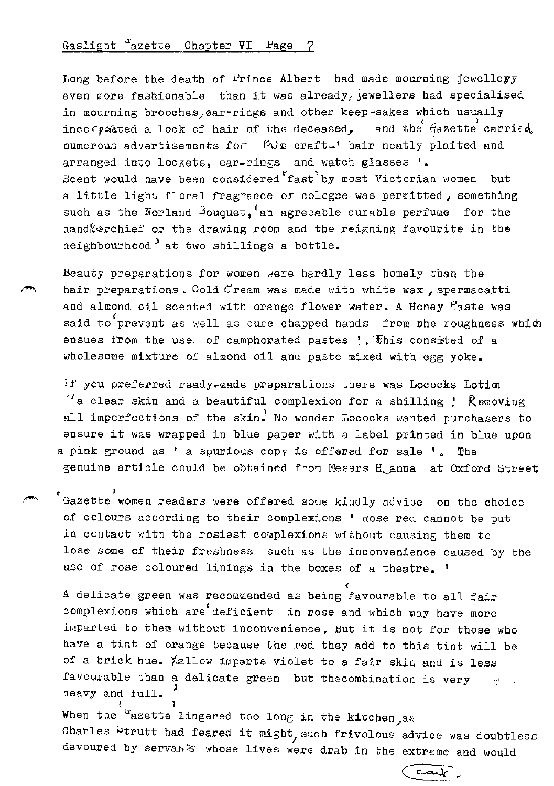## Gaslight "azette Chapter VI Page

Long before the death of Prince Albert had made mourning jewelleyy even more fashionable than it was already, jewellers had specialised in mourning brooches, ear~rings and other keep-sakes which usually incc $\epsilon$ -pated a lock of hair of the deceased, and the fazette carried. numerous advertisements for *this* craft-' hair neatly plaited and arranged into lockets, ear-rings and watch glasses '· Scent would have been considered fast by most Victorian women but a little light floral fragrance *or* cologne was permitted, something such as the Norland Bouquet,  $f$  an agreeable durable perfume for the handkerchief or the drawing room and the reigning favourite in the neighbourhood  $\overline{\phantom{a}}$  at two shillings a bottle.

Beauty preparations for women were hardly less homely than the hair preparations. Cold  $C$ ream was made with white wax, spermacatti and almond oil scented with orange flower water. A Honey Paste was said to prevent as well as cure chapped hands from the roughness which ensues from the use, of camphorated pastes  $;$  This consitted of a wholesome mixture of almond oil and paste mixed with egg yoke.

If you preferred ready~made preparations there was Lococks Lotim *·t* a clear skin and a beautiful complexion for a shilling ! Removing all imperfections of the skin. No wonder Lococks wanted purchasers to ensure it was wrapped in blue *paper* with a label printed in blue upon a pink ground as ' a spurious copy is offered for sale '. The genuine article could be obtained from Messrs H anna at Oxford Street

Gazette women readers were offered some kindly advice on the choice of colours according to their complexions ' Rose red cannot be put in contact with the rosiest complexions without causing them to lose some of their freshness such as the inconvenience caused by the use of rose coloured linings in the boxes of a theatre. '

( A delicate green was recommended as being favourable to all fair complexions which are deficient in rose and which may have more imparted to them without inconvenience. But it is not for those who have a tint of orange because the red they add to this tint will be of a brick hue. Yellow imparts violet to a fair skin and is less favourable than a delicate green .but the combination is very  $\sim$ heavy and full. '( )

When the <sup>u</sup>azette lingered too long in the kitchen as Charles btrutt had feared it might, such frivolous advice was doubtless devoured by servants whose lives were drab in the extreme and would

 $-\alpha$   $\sim$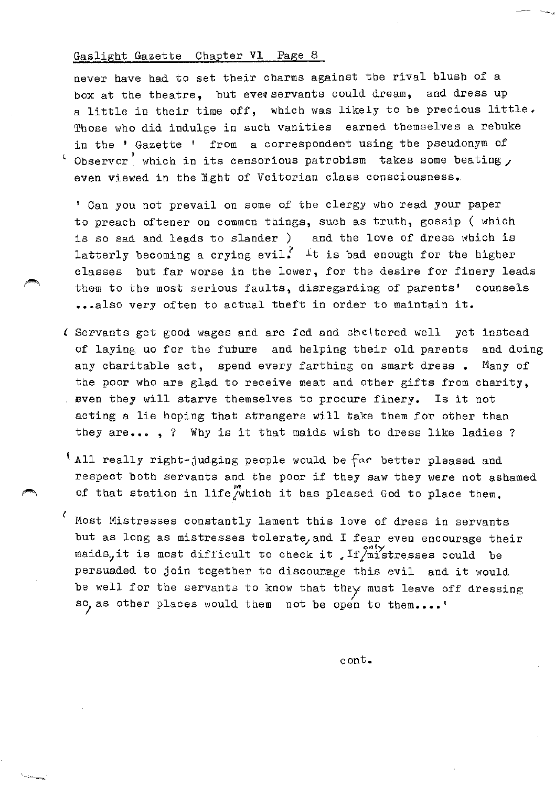#### Gaslight Gazette Chapter Vl Page 8

never have had to set their charms against the rival blush of a box at the theatre, but ever servants could dream, and dress up a little in their time off, which was likely to be precious little. Those who did indulge in such vanities earned themselves a rebuke in the ' Gazette ' from a correspondent using the pseudonym of Observor, which in its censorious patrobism takes some beating, even viewed in the light of Vcitorian class consciousness.

' Can you not prevail on some of the clergy who read your paper to preach oftener on common things, such as truth, gossip ( which is so sad and leads to slander ) and the love of dress which is latterly becoming a crying evil. It is bad enough for the higher classes but far worse in the lower, for the desire for finery leads them to the most serious faults, disregarding of parents' counsels ••• also very often to actual theft in order to maintain it.

- £ Servants get good wages and are fed and sheltered well yet instead of laying uo for the future and helping their old parents and doing any charitable act, spend every farthing on smart dress • Many of the poor who are glad to receive meat and other gifts from charity, . even they will starve themselves to procure finery. Is it not acting a lie hoping that strangers will take them for other than they are..., ? Why is it that maids wish to dress like ladies ?
- l All really right-judging people would be *far* better pleased and respect both servants and the poor if they saw they were not ashamed of that station in life  $\mu$  which it has pleased God to place them.
- Most Mistresses constantly lament this love of dress in servants but as long as mistresses tolerate, and I fear even encourage their maids, it is most difficult to check it . If  $\lim_{n\to\infty}$  is could be persuaded to join together to discounage this evil and it would be well for the servants to know that they must leave off dressing so, as other places would them not be open to them....'

cont.